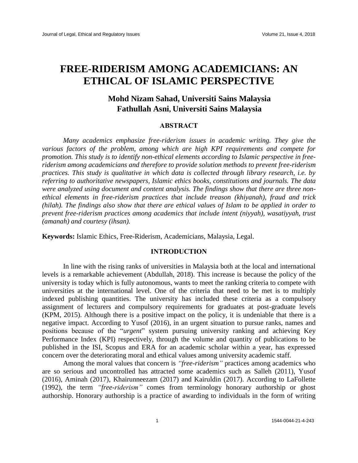# **FREE-RIDERISM AMONG ACADEMICIANS: AN ETHICAL OF ISLAMIC PERSPECTIVE**

## **Mohd Nizam Sahad, Universiti Sains Malaysia Fathullah Asni, Universiti Sains Malaysia**

### **ABSTRACT**

*Many academics emphasize free-riderism issues in academic writing. They give the various factors of the problem, among which are high KPI requirements and compete for promotion. This study is to identify non-ethical elements according to Islamic perspective in freeriderism among academicians and therefore to provide solution methods to prevent free-riderism practices. This study is qualitative in which data is collected through library research, i.e. by referring to authoritative newspapers, Islamic ethics books, constitutions and journals. The data were analyzed using document and content analysis. The findings show that there are three nonethical elements in free-riderism practices that include treason (khiyanah), fraud and trick (hilah). The findings also show that there are ethical values of Islam to be applied in order to prevent free-riderism practices among academics that include intent (niyyah), wasatiyyah, trust (amanah) and courtesy (ihsan).*

**Keywords:** Islamic Ethics, Free-Riderism, Academicians, Malaysia, Legal.

#### **INTRODUCTION**

In line with the rising ranks of universities in Malaysia both at the local and international levels is a remarkable achievement (Abdullah, 2018). This increase is because the policy of the university is today which is fully autonomous, wants to meet the ranking criteria to compete with universities at the international level. One of the criteria that need to be met is to multiply indexed publishing quantities. The university has included these criteria as a compulsory assignment of lecturers and compulsory requirements for graduates at post-graduate levels (KPM, 2015). Although there is a positive impact on the policy, it is undeniable that there is a negative impact. According to Yusof (2016), in an urgent situation to pursue ranks, names and positions because of the "*urgent*" system pursuing university ranking and achieving Key Performance Index (KPI) respectively, through the volume and quantity of publications to be published in the ISI, Scopus and ERA for an academic scholar within a year, has expressed concern over the deteriorating moral and ethical values among university academic staff.

Among the moral values that concern is *"free-riderism"* practices among academics who are so serious and uncontrolled has attracted some academics such as Salleh (2011), Yusof (2016), Aminah (2017), Khairunneezam (2017) and Kairuldin (2017). According to LaFollette (1992), the term *"free-riderism"* comes from terminology honorary authorship or ghost authorship. Honorary authorship is a practice of awarding to individuals in the form of writing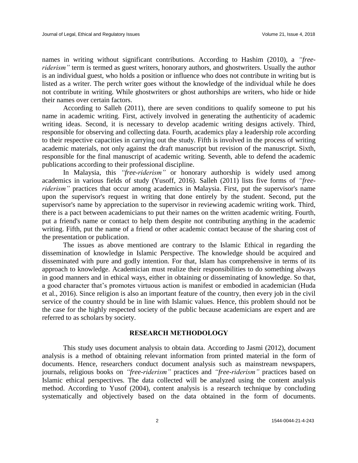names in writing without significant contributions. According to Hashim (2010), a *"freeriderism"* term is termed as guest writers, honorary authors, and ghostwriters. Usually the author is an individual guest, who holds a position or influence who does not contribute in writing but is listed as a writer. The perch writer goes without the knowledge of the individual while he does not contribute in writing. While ghostwriters or ghost authorships are writers, who hide or hide their names over certain factors.

According to Salleh (2011), there are seven conditions to qualify someone to put his name in academic writing. First, actively involved in generating the authenticity of academic writing ideas. Second, it is necessary to develop academic writing designs actively. Third, responsible for observing and collecting data. Fourth, academics play a leadership role according to their respective capacities in carrying out the study. Fifth is involved in the process of writing academic materials, not only against the draft manuscript but revision of the manuscript. Sixth, responsible for the final manuscript of academic writing. Seventh, able to defend the academic publications according to their professional discipline.

In Malaysia, this *"free-riderism"* or honorary authorship is widely used among academics in various fields of study (Yusoff, 2016). Salleh (2011) lists five forms of *"freeriderism*" practices that occur among academics in Malaysia. First, put the supervisor's name upon the supervisor's request in writing that done entirely by the student. Second, put the supervisor's name by appreciation to the supervisor in reviewing academic writing work. Third, there is a pact between academicians to put their names on the written academic writing. Fourth, put a friend's name or contact to help them despite not contributing anything in the academic writing. Fifth, put the name of a friend or other academic contact because of the sharing cost of the presentation or publication.

The issues as above mentioned are contrary to the Islamic Ethical in regarding the dissemination of knowledge in Islamic Perspective. The knowledge should be acquired and disseminated with pure and godly intention. For that, Islam has comprehensive in terms of its approach to knowledge. Academician must realize their responsibilities to do something always in good manners and in ethical ways, either in obtaining or disseminating of knowledge. So that, a good character that's promotes virtuous action is manifest or embodied in academician (Huda et al., 2016). Since religion is also an important feature of the country, then every job in the civil service of the country should be in line with Islamic values. Hence, this problem should not be the case for the highly respected society of the public because academicians are expert and are referred to as scholars by society.

#### **RESEARCH METHODOLOGY**

This study uses document analysis to obtain data. According to Jasmi (2012), document analysis is a method of obtaining relevant information from printed material in the form of documents. Hence, researchers conduct document analysis such as mainstream newspapers, journals, religious books on *"free-riderism"* practices and *"free-riderism"* practices based on Islamic ethical perspectives. The data collected will be analyzed using the content analysis method. According to Yusof (2004), content analysis is a research technique by concluding systematically and objectively based on the data obtained in the form of documents.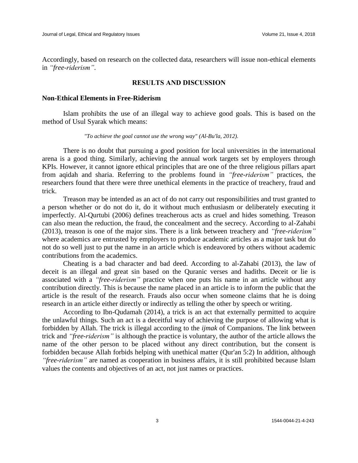Accordingly, based on research on the collected data, researchers will issue non-ethical elements in *"free-riderism"*.

#### **RESULTS AND DISCUSSION**

#### **Non-Ethical Elements in Free-Riderism**

Islam prohibits the use of an illegal way to achieve good goals. This is based on the method of Usul Syarak which means:

#### *"To achieve the goal cannot use the wrong way" (Al-Bu'la, 2012).*

There is no doubt that pursuing a good position for local universities in the international arena is a good thing. Similarly, achieving the annual work targets set by employers through KPIs. However, it cannot ignore ethical principles that are one of the three religious pillars apart from aqidah and sharia. Referring to the problems found in *"free-riderism"* practices, the researchers found that there were three unethical elements in the practice of treachery, fraud and trick.

Treason may be intended as an act of do not carry out responsibilities and trust granted to a person whether or do not do it, do it without much enthusiasm or deliberately executing it imperfectly. Al-Qurtubi (2006) defines treacherous acts as cruel and hides something. Treason can also mean the reduction, the fraud, the concealment and the secrecy. According to al-Zahabi (2013), treason is one of the major sins. There is a link between treachery and *"free-riderism"* where academics are entrusted by employers to produce academic articles as a major task but do not do so well just to put the name in an article which is endeavored by others without academic contributions from the academics.

Cheating is a bad character and bad deed. According to al-Zahabi (2013), the law of deceit is an illegal and great sin based on the Quranic verses and hadiths. Deceit or lie is associated with a *"free-riderism"* practice when one puts his name in an article without any contribution directly. This is because the name placed in an article is to inform the public that the article is the result of the research. Frauds also occur when someone claims that he is doing research in an article either directly or indirectly as telling the other by speech or writing.

According to Ibn-Qudamah (2014), a trick is an act that externally permitted to acquire the unlawful things. Such an act is a deceitful way of achieving the purpose of allowing what is forbidden by Allah. The trick is illegal according to the *ijmak* of Companions. The link between trick and *"free-riderism"* is although the practice is voluntary, the author of the article allows the name of the other person to be placed without any direct contribution, but the consent is forbidden because Allah forbids helping with unethical matter (Qur'an 5:2) In addition, although *"free-riderism"* are named as cooperation in business affairs, it is still prohibited because Islam values the contents and objectives of an act, not just names or practices.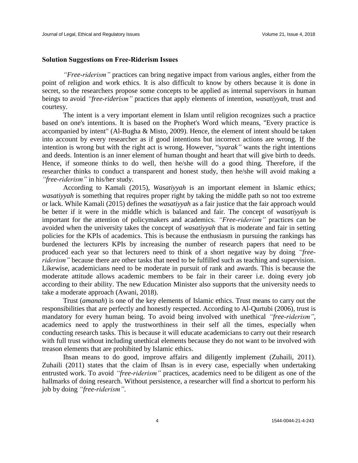#### **Solution Suggestions on Free-Riderism Issues**

*"Free-riderism"* practices can bring negative impact from various angles, either from the point of religion and work ethics. It is also difficult to know by others because it is done in secret, so the researchers propose some concepts to be applied as internal supervisors in human beings to avoid *"free-riderism"* practices that apply elements of intention, *wasatiyyah*, trust and courtesy.

The intent is a very important element in Islam until religion recognizes such a practice based on one's intentions. It is based on the Prophet's Word which means, "Every practice is accompanied by intent" (Al-Bugha & Misto, 2009). Hence, the element of intent should be taken into account by every researcher as if good intentions but incorrect actions are wrong. If the intention is wrong but with the right act is wrong. However, "*syarak"* wants the right intentions and deeds. Intention is an inner element of human thought and heart that will give birth to deeds. Hence, if someone thinks to do well, then he/she will do a good thing. Therefore, if the researcher thinks to conduct a transparent and honest study, then he/she will avoid making a *"free-riderism"* in his/her study.

According to Kamali (2015), *Wasatiyyah* is an important element in Islamic ethics; *wasatiyyah* is something that requires proper right by taking the middle path so not too extreme or lack. While Kamali (2015) defines the *wasatiyyah* as a fair justice that the fair approach would be better if it were in the middle which is balanced and fair. The concept of *wasatiyyah* is important for the attention of policymakers and academics. *"Free-riderism"* practices can be avoided when the university takes the concept of *wasatiyyah* that is moderate and fair in setting policies for the KPIs of academics. This is because the enthusiasm in pursuing the rankings has burdened the lecturers KPIs by increasing the number of research papers that need to be produced each year so that lecturers need to think of a short negative way by doing *"freeriderism*" because there are other tasks that need to be fulfilled such as teaching and supervision. Likewise, academicians need to be moderate in pursuit of rank and awards. This is because the moderate attitude allows academic members to be fair in their career i.e. doing every job according to their ability. The new Education Minister also supports that the university needs to take a moderate approach (Awani, 2018).

Trust (*amanah*) is one of the key elements of Islamic ethics. Trust means to carry out the responsibilities that are perfectly and honestly respected. According to Al-Qurtubi (2006), trust is mandatory for every human being. To avoid being involved with unethical *"free-riderism"*, academics need to apply the trustworthiness in their self all the times, especially when conducting research tasks. This is because it will educate academicians to carry out their research with full trust without including unethical elements because they do not want to be involved with treason elements that are prohibited by Islamic ethics.

Ihsan means to do good, improve affairs and diligently implement (Zuhaili, 2011). Zuhaili (2011) states that the claim of Ihsan is in every case, especially when undertaking entrusted work. To avoid *"free-riderism"* practices, academics need to be diligent as one of the hallmarks of doing research. Without persistence, a researcher will find a shortcut to perform his job by doing *"free-riderism"*.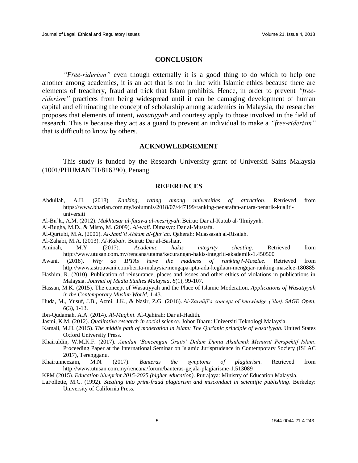#### **CONCLUSION**

*"Free-riderism"* even though externally it is a good thing to do which to help one another among academics, it is an act that is not in line with Islamic ethics because there are elements of treachery, fraud and trick that Islam prohibits. Hence, in order to prevent *"freeriderism*" practices from being widespread until it can be damaging development of human capital and eliminating the concept of scholarship among academics in Malaysia, the researcher proposes that elements of intent, *wasatiyyah* and courtesy apply to those involved in the field of research. This is because they act as a guard to prevent an individual to make a *"free-riderism"*  that is difficult to know by others.

#### **ACKNOWLEDGEMENT**

This study is funded by the Research University grant of Universiti Sains Malaysia (1001/PHUMANITI/816290), Penang.

#### **REFERENCES**

- Abdullah, A.H. (2018). *Ranking, rating among universities of attraction*. Retrieved from [https://www.bharian.com.my/kolumnis/2018/07/447199/ranking-penarafan-antara-penarik-kualiti](https://www.bharian.com.my/kolumnis/2018/07/447199/ranking-penarafan-antara-penarik-kualiti-universiti)[universiti](https://www.bharian.com.my/kolumnis/2018/07/447199/ranking-penarafan-antara-penarik-kualiti-universiti)
- Al-Bu'la, A.M. (2012). *Mukhtasar al-fatawa al-mesriyyah*. Beirut: Dar al-Kutub al-'Ilmiyyah.
- Al-Bugha, M.D., & Misto, M. (2009). *Al-wafi.* Dimasyq: Dar al-Mustafa.
- Al-Qurtubi, M.A. (2006). *Al-Jami'li Ahkam al-Qur'an*. Qaherah: Muassasah al-Risalah.
- Al-Zahabi, M.A. (2013). *Al-Kabair*. Beirut: Dar al-Bashair.
- Aminah, M.Y. (2017). *Academic hakis integrity cheating.* Retrieved from http://www.utusan.com.my/rencana/utama/kecurangan-hakis-integriti-akademik-1.450500
- Awani. (2018). *Why do IPTAs have the madness of ranking?-Maszlee*. Retrieved from http://www.astroawani.com/berita-malaysia/mengapa-ipta-ada-kegilaan-mengejar-ranking-maszlee-180885
- Hashim, R. (2010). Publication of reinsurance, places and issues and other ethics of violations in publications in Malaysia. *Journal of Media Studies Malaysia*, *8*(1), 99-107.
- Hassan, M.K. (2015). The concept of Wasatiyyah and the Place of Islamic Moderation. *Applications of Wasatiyyah in the Contemporary Muslim World*, 1-43.
- Huda, M., Yusuf, J.B., Azmi, J.K., & Nasir, Z.G. (2016). *Al-Zarnūjī's concept of knowledge ('ilm)*. *SAGE Open, 6*(3), 1-13.
- Ibn-Qudamah, A.A. (2014). *Al-Mughni*. Al-Qahirah: Dar al-Hadith.
- Jasmi, K.M. (2012). *Qualitative research in social science.* Johor Bharu: Universiti Teknologi Malaysia.
- Kamali, M.H. (2015). *The middle path of moderation in Islam: The Qur'anic principle of wasatiyyah*. United States Oxford University Press.
- Khairuldin, W.M.K.F. (2017). *Amalan 'Boncengan Gratis' Dalam Dunia Akademik Menurut Perspektif Islam*. Proceeding Paper at the International Seminar on Islamic Jurisprudence in Contemporary Society (ISLAC 2017), Terengganu.
- Khairunneezam, M.N. (2017). *Banteras the symptoms of plagiarism*. Retrieved from <http://www.utusan.com.my/rencana/forum/banteras-gejala-plagiarisme-1.513089>
- KPM (2015). *Education blueprint 2015-2025 (higher education)*. Putrajaya: Ministry of Education Malaysia.
- LaFollette, M.C. (1992). *Stealing into print-fraud plagiarism and misconduct in scientific publishing*. Berkeley: University of California Press.